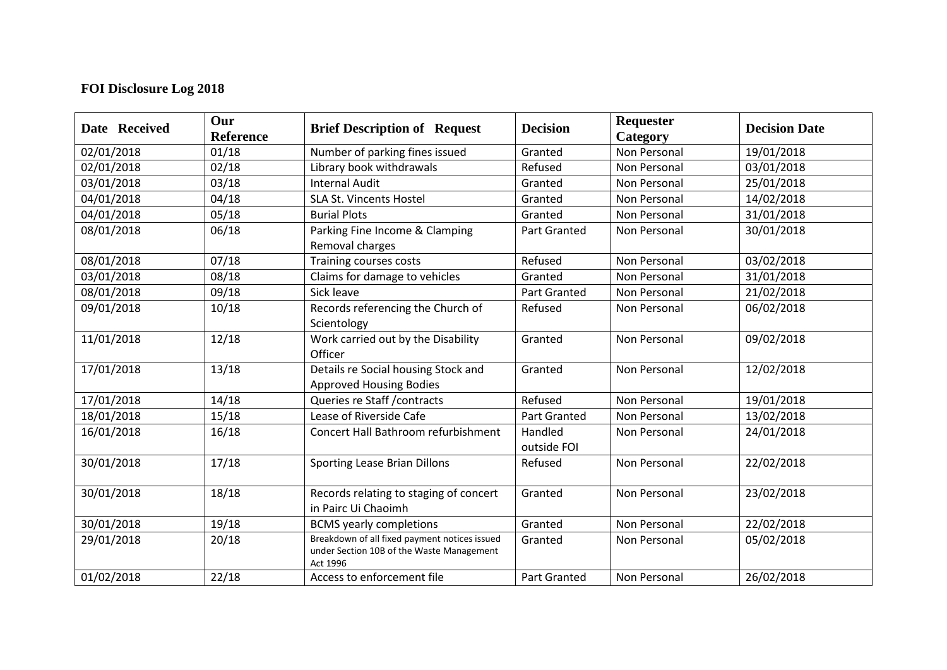## **FOI Disclosure Log 2018**

| Date Received | Our<br>Reference | <b>Brief Description of Request</b>                                                                    | <b>Decision</b>        | Requester<br>Category | <b>Decision Date</b> |
|---------------|------------------|--------------------------------------------------------------------------------------------------------|------------------------|-----------------------|----------------------|
| 02/01/2018    | 01/18            | Number of parking fines issued                                                                         | Granted                | <b>Non Personal</b>   | 19/01/2018           |
| 02/01/2018    | 02/18            | Library book withdrawals                                                                               | Refused                | Non Personal          | 03/01/2018           |
| 03/01/2018    | 03/18            | <b>Internal Audit</b>                                                                                  | Granted                | Non Personal          | 25/01/2018           |
| 04/01/2018    | 04/18            | <b>SLA St. Vincents Hostel</b>                                                                         | Granted                | Non Personal          | 14/02/2018           |
| 04/01/2018    | 05/18            | <b>Burial Plots</b>                                                                                    | Granted                | Non Personal          | 31/01/2018           |
| 08/01/2018    | 06/18            | Parking Fine Income & Clamping<br>Removal charges                                                      | <b>Part Granted</b>    | Non Personal          | 30/01/2018           |
| 08/01/2018    | 07/18            | Training courses costs                                                                                 | Refused                | Non Personal          | 03/02/2018           |
| 03/01/2018    | 08/18            | Claims for damage to vehicles                                                                          | Granted                | Non Personal          | 31/01/2018           |
| 08/01/2018    | 09/18            | Sick leave                                                                                             | <b>Part Granted</b>    | <b>Non Personal</b>   | 21/02/2018           |
| 09/01/2018    | 10/18            | Records referencing the Church of<br>Scientology                                                       | Refused                | Non Personal          | 06/02/2018           |
| 11/01/2018    | 12/18            | Work carried out by the Disability<br>Officer                                                          | Granted                | Non Personal          | 09/02/2018           |
| 17/01/2018    | 13/18            | Details re Social housing Stock and<br><b>Approved Housing Bodies</b>                                  | Granted                | Non Personal          | 12/02/2018           |
| 17/01/2018    | 14/18            | Queries re Staff / contracts                                                                           | Refused                | Non Personal          | 19/01/2018           |
| 18/01/2018    | 15/18            | Lease of Riverside Cafe                                                                                | <b>Part Granted</b>    | Non Personal          | 13/02/2018           |
| 16/01/2018    | 16/18            | Concert Hall Bathroom refurbishment                                                                    | Handled<br>outside FOI | Non Personal          | 24/01/2018           |
| 30/01/2018    | 17/18            | Sporting Lease Brian Dillons                                                                           | Refused                | Non Personal          | 22/02/2018           |
| 30/01/2018    | 18/18            | Records relating to staging of concert<br>in Pairc Ui Chaoimh                                          | Granted                | Non Personal          | 23/02/2018           |
| 30/01/2018    | 19/18            | <b>BCMS</b> yearly completions                                                                         | Granted                | Non Personal          | 22/02/2018           |
| 29/01/2018    | 20/18            | Breakdown of all fixed payment notices issued<br>under Section 10B of the Waste Management<br>Act 1996 | Granted                | Non Personal          | 05/02/2018           |
| 01/02/2018    | 22/18            | Access to enforcement file                                                                             | <b>Part Granted</b>    | Non Personal          | 26/02/2018           |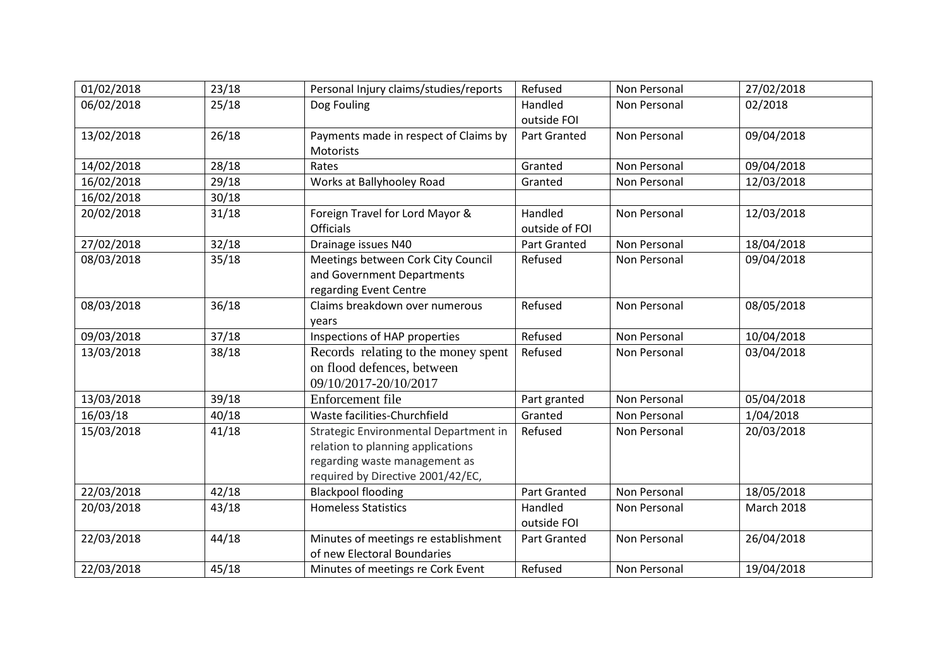| 01/02/2018 | 23/18 | Personal Injury claims/studies/reports                                                                                                           | Refused                   | Non Personal | 27/02/2018        |
|------------|-------|--------------------------------------------------------------------------------------------------------------------------------------------------|---------------------------|--------------|-------------------|
| 06/02/2018 | 25/18 | Dog Fouling                                                                                                                                      | Handled<br>outside FOI    | Non Personal | 02/2018           |
| 13/02/2018 | 26/18 | Payments made in respect of Claims by<br><b>Motorists</b>                                                                                        | <b>Part Granted</b>       | Non Personal | 09/04/2018        |
| 14/02/2018 | 28/18 | Rates                                                                                                                                            | Granted                   | Non Personal | 09/04/2018        |
| 16/02/2018 | 29/18 | Works at Ballyhooley Road                                                                                                                        | Granted                   | Non Personal | 12/03/2018        |
| 16/02/2018 | 30/18 |                                                                                                                                                  |                           |              |                   |
| 20/02/2018 | 31/18 | Foreign Travel for Lord Mayor &<br><b>Officials</b>                                                                                              | Handled<br>outside of FOI | Non Personal | 12/03/2018        |
| 27/02/2018 | 32/18 | Drainage issues N40                                                                                                                              | Part Granted              | Non Personal | 18/04/2018        |
| 08/03/2018 | 35/18 | Meetings between Cork City Council<br>and Government Departments<br>regarding Event Centre                                                       | Refused                   | Non Personal | 09/04/2018        |
| 08/03/2018 | 36/18 | Claims breakdown over numerous<br>years                                                                                                          | Refused                   | Non Personal | 08/05/2018        |
| 09/03/2018 | 37/18 | Inspections of HAP properties                                                                                                                    | Refused                   | Non Personal | 10/04/2018        |
| 13/03/2018 | 38/18 | Records relating to the money spent<br>on flood defences, between<br>09/10/2017-20/10/2017                                                       | Refused                   | Non Personal | 03/04/2018        |
| 13/03/2018 | 39/18 | Enforcement file                                                                                                                                 | Part granted              | Non Personal | 05/04/2018        |
| 16/03/18   | 40/18 | Waste facilities-Churchfield                                                                                                                     | Granted                   | Non Personal | 1/04/2018         |
| 15/03/2018 | 41/18 | Strategic Environmental Department in<br>relation to planning applications<br>regarding waste management as<br>required by Directive 2001/42/EC, | Refused                   | Non Personal | 20/03/2018        |
| 22/03/2018 | 42/18 | <b>Blackpool flooding</b>                                                                                                                        | <b>Part Granted</b>       | Non Personal | 18/05/2018        |
| 20/03/2018 | 43/18 | <b>Homeless Statistics</b>                                                                                                                       | Handled<br>outside FOI    | Non Personal | <b>March 2018</b> |
| 22/03/2018 | 44/18 | Minutes of meetings re establishment<br>of new Electoral Boundaries                                                                              | Part Granted              | Non Personal | 26/04/2018        |
| 22/03/2018 | 45/18 | Minutes of meetings re Cork Event                                                                                                                | Refused                   | Non Personal | 19/04/2018        |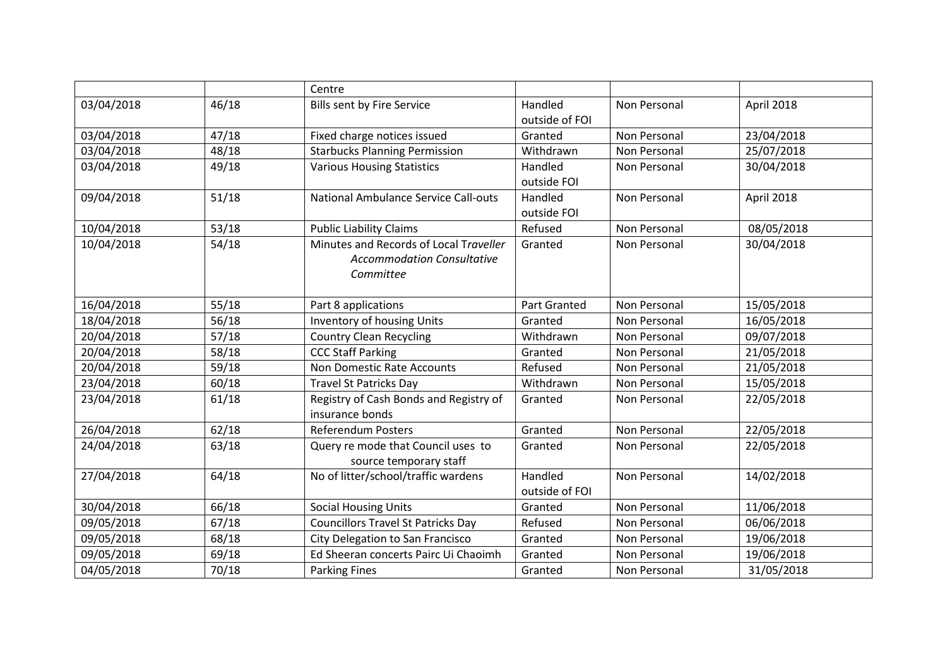|            |       | Centre                                      |                     |              |            |
|------------|-------|---------------------------------------------|---------------------|--------------|------------|
| 03/04/2018 | 46/18 | <b>Bills sent by Fire Service</b>           | Handled             | Non Personal | April 2018 |
|            |       |                                             | outside of FOI      |              |            |
| 03/04/2018 | 47/18 | Fixed charge notices issued                 | Granted             | Non Personal | 23/04/2018 |
| 03/04/2018 | 48/18 | <b>Starbucks Planning Permission</b>        | Withdrawn           | Non Personal | 25/07/2018 |
| 03/04/2018 | 49/18 | <b>Various Housing Statistics</b>           | Handled             | Non Personal | 30/04/2018 |
|            |       |                                             | outside FOI         |              |            |
| 09/04/2018 | 51/18 | <b>National Ambulance Service Call-outs</b> | Handled             | Non Personal | April 2018 |
|            |       |                                             | outside FOI         |              |            |
| 10/04/2018 | 53/18 | <b>Public Liability Claims</b>              | Refused             | Non Personal | 08/05/2018 |
| 10/04/2018 | 54/18 | Minutes and Records of Local Traveller      | Granted             | Non Personal | 30/04/2018 |
|            |       | <b>Accommodation Consultative</b>           |                     |              |            |
|            |       | Committee                                   |                     |              |            |
|            |       |                                             |                     |              |            |
| 16/04/2018 | 55/18 | Part 8 applications                         | <b>Part Granted</b> | Non Personal | 15/05/2018 |
| 18/04/2018 | 56/18 | Inventory of housing Units                  | Granted             | Non Personal | 16/05/2018 |
| 20/04/2018 | 57/18 | <b>Country Clean Recycling</b>              | Withdrawn           | Non Personal | 09/07/2018 |
| 20/04/2018 | 58/18 | <b>CCC Staff Parking</b>                    | Granted             | Non Personal | 21/05/2018 |
| 20/04/2018 | 59/18 | Non Domestic Rate Accounts                  | Refused             | Non Personal | 21/05/2018 |
| 23/04/2018 | 60/18 | <b>Travel St Patricks Day</b>               | Withdrawn           | Non Personal | 15/05/2018 |
| 23/04/2018 | 61/18 | Registry of Cash Bonds and Registry of      | Granted             | Non Personal | 22/05/2018 |
|            |       | insurance bonds                             |                     |              |            |
| 26/04/2018 | 62/18 | <b>Referendum Posters</b>                   | Granted             | Non Personal | 22/05/2018 |
| 24/04/2018 | 63/18 | Query re mode that Council uses to          | Granted             | Non Personal | 22/05/2018 |
|            |       | source temporary staff                      |                     |              |            |
| 27/04/2018 | 64/18 | No of litter/school/traffic wardens         | Handled             | Non Personal | 14/02/2018 |
|            |       |                                             | outside of FOI      |              |            |
| 30/04/2018 | 66/18 | <b>Social Housing Units</b>                 | Granted             | Non Personal | 11/06/2018 |
| 09/05/2018 | 67/18 | <b>Councillors Travel St Patricks Day</b>   | Refused             | Non Personal | 06/06/2018 |
| 09/05/2018 | 68/18 | City Delegation to San Francisco            | Granted             | Non Personal | 19/06/2018 |
| 09/05/2018 | 69/18 | Ed Sheeran concerts Pairc Ui Chaoimh        | Granted             | Non Personal | 19/06/2018 |
| 04/05/2018 | 70/18 | <b>Parking Fines</b>                        | Granted             | Non Personal | 31/05/2018 |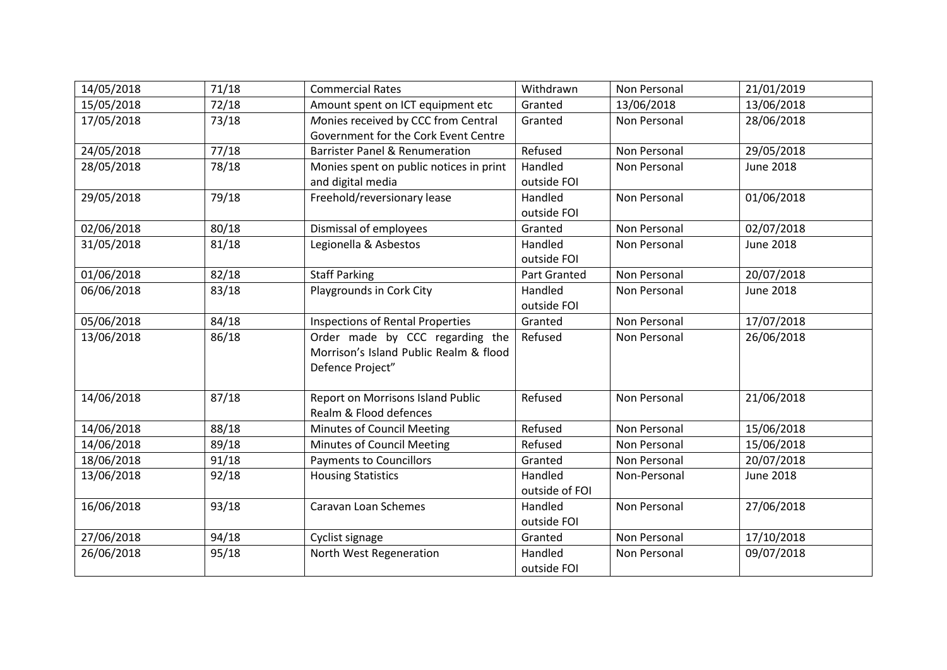| 14/05/2018 | 71/18 | <b>Commercial Rates</b>                   | Withdrawn      | Non Personal        | 21/01/2019       |
|------------|-------|-------------------------------------------|----------------|---------------------|------------------|
| 15/05/2018 | 72/18 | Amount spent on ICT equipment etc         | Granted        | 13/06/2018          | 13/06/2018       |
| 17/05/2018 | 73/18 | Monies received by CCC from Central       | Granted        | Non Personal        | 28/06/2018       |
|            |       | Government for the Cork Event Centre      |                |                     |                  |
| 24/05/2018 | 77/18 | <b>Barrister Panel &amp; Renumeration</b> | Refused        | <b>Non Personal</b> | 29/05/2018       |
| 28/05/2018 | 78/18 | Monies spent on public notices in print   | Handled        | Non Personal        | <b>June 2018</b> |
|            |       | and digital media                         | outside FOI    |                     |                  |
| 29/05/2018 | 79/18 | Freehold/reversionary lease               | Handled        | Non Personal        | 01/06/2018       |
|            |       |                                           | outside FOI    |                     |                  |
| 02/06/2018 | 80/18 | Dismissal of employees                    | Granted        | Non Personal        | 02/07/2018       |
| 31/05/2018 | 81/18 | Legionella & Asbestos                     | Handled        | Non Personal        | <b>June 2018</b> |
|            |       |                                           | outside FOI    |                     |                  |
| 01/06/2018 | 82/18 | <b>Staff Parking</b>                      | Part Granted   | <b>Non Personal</b> | 20/07/2018       |
| 06/06/2018 | 83/18 | Playgrounds in Cork City                  | Handled        | Non Personal        | <b>June 2018</b> |
|            |       |                                           | outside FOI    |                     |                  |
| 05/06/2018 | 84/18 | <b>Inspections of Rental Properties</b>   | Granted        | Non Personal        | 17/07/2018       |
| 13/06/2018 | 86/18 | Order made by CCC regarding the           | Refused        | Non Personal        | 26/06/2018       |
|            |       | Morrison's Island Public Realm & flood    |                |                     |                  |
|            |       | Defence Project"                          |                |                     |                  |
| 14/06/2018 | 87/18 | Report on Morrisons Island Public         | Refused        | Non Personal        | 21/06/2018       |
|            |       | Realm & Flood defences                    |                |                     |                  |
| 14/06/2018 | 88/18 | Minutes of Council Meeting                | Refused        | Non Personal        | 15/06/2018       |
| 14/06/2018 | 89/18 | Minutes of Council Meeting                | Refused        | Non Personal        | 15/06/2018       |
| 18/06/2018 | 91/18 | <b>Payments to Councillors</b>            | Granted        | Non Personal        | 20/07/2018       |
| 13/06/2018 | 92/18 | <b>Housing Statistics</b>                 | Handled        | Non-Personal        | <b>June 2018</b> |
|            |       |                                           | outside of FOI |                     |                  |
| 16/06/2018 | 93/18 | Caravan Loan Schemes                      | Handled        | Non Personal        | 27/06/2018       |
|            |       |                                           | outside FOI    |                     |                  |
| 27/06/2018 | 94/18 | Cyclist signage                           | Granted        | Non Personal        | 17/10/2018       |
| 26/06/2018 | 95/18 | North West Regeneration                   | Handled        | Non Personal        | 09/07/2018       |
|            |       |                                           | outside FOI    |                     |                  |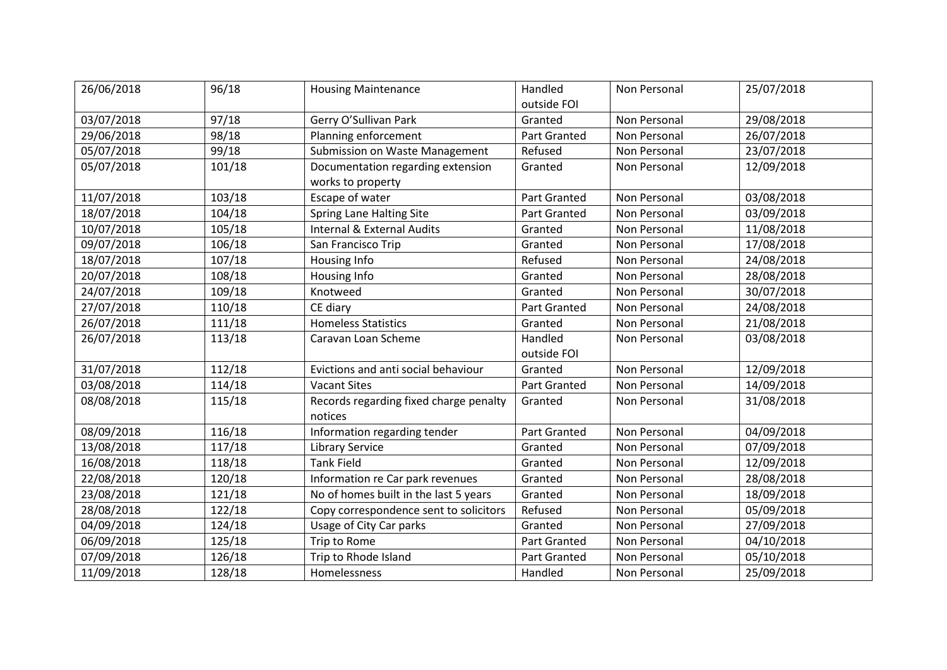| 26/06/2018 | 96/18  | <b>Housing Maintenance</b>             | Handled             | Non Personal | 25/07/2018 |
|------------|--------|----------------------------------------|---------------------|--------------|------------|
|            |        |                                        | outside FOI         |              |            |
| 03/07/2018 | 97/18  | Gerry O'Sullivan Park                  | Granted             | Non Personal | 29/08/2018 |
| 29/06/2018 | 98/18  | Planning enforcement                   | Part Granted        | Non Personal | 26/07/2018 |
| 05/07/2018 | 99/18  | Submission on Waste Management         | Refused             | Non Personal | 23/07/2018 |
| 05/07/2018 | 101/18 | Documentation regarding extension      | Granted             | Non Personal | 12/09/2018 |
|            |        | works to property                      |                     |              |            |
| 11/07/2018 | 103/18 | Escape of water                        | Part Granted        | Non Personal | 03/08/2018 |
| 18/07/2018 | 104/18 | <b>Spring Lane Halting Site</b>        | Part Granted        | Non Personal | 03/09/2018 |
| 10/07/2018 | 105/18 | <b>Internal &amp; External Audits</b>  | Granted             | Non Personal | 11/08/2018 |
| 09/07/2018 | 106/18 | San Francisco Trip                     | Granted             | Non Personal | 17/08/2018 |
| 18/07/2018 | 107/18 | Housing Info                           | Refused             | Non Personal | 24/08/2018 |
| 20/07/2018 | 108/18 | Housing Info                           | Granted             | Non Personal | 28/08/2018 |
| 24/07/2018 | 109/18 | Knotweed                               | Granted             | Non Personal | 30/07/2018 |
| 27/07/2018 | 110/18 | CE diary                               | <b>Part Granted</b> | Non Personal | 24/08/2018 |
| 26/07/2018 | 111/18 | <b>Homeless Statistics</b>             | Granted             | Non Personal | 21/08/2018 |
| 26/07/2018 | 113/18 | Caravan Loan Scheme                    | Handled             | Non Personal | 03/08/2018 |
|            |        |                                        | outside FOI         |              |            |
| 31/07/2018 | 112/18 | Evictions and anti social behaviour    | Granted             | Non Personal | 12/09/2018 |
| 03/08/2018 | 114/18 | <b>Vacant Sites</b>                    | Part Granted        | Non Personal | 14/09/2018 |
| 08/08/2018 | 115/18 | Records regarding fixed charge penalty | Granted             | Non Personal | 31/08/2018 |
|            |        | notices                                |                     |              |            |
| 08/09/2018 | 116/18 | Information regarding tender           | Part Granted        | Non Personal | 04/09/2018 |
| 13/08/2018 | 117/18 | <b>Library Service</b>                 | Granted             | Non Personal | 07/09/2018 |
| 16/08/2018 | 118/18 | <b>Tank Field</b>                      | Granted             | Non Personal | 12/09/2018 |
| 22/08/2018 | 120/18 | Information re Car park revenues       | Granted             | Non Personal | 28/08/2018 |
| 23/08/2018 | 121/18 | No of homes built in the last 5 years  | Granted             | Non Personal | 18/09/2018 |
| 28/08/2018 | 122/18 | Copy correspondence sent to solicitors | Refused             | Non Personal | 05/09/2018 |
| 04/09/2018 | 124/18 | Usage of City Car parks                | Granted             | Non Personal | 27/09/2018 |
| 06/09/2018 | 125/18 | Trip to Rome                           | Part Granted        | Non Personal | 04/10/2018 |
| 07/09/2018 | 126/18 | Trip to Rhode Island                   | <b>Part Granted</b> | Non Personal | 05/10/2018 |
| 11/09/2018 | 128/18 | Homelessness                           | Handled             | Non Personal | 25/09/2018 |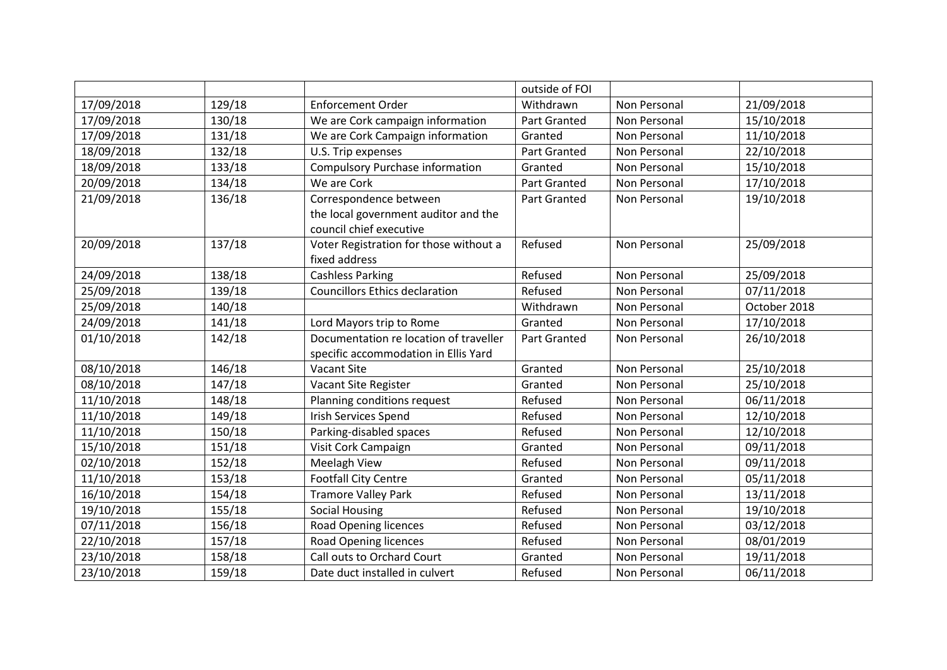|            |        |                                        | outside of FOI      |              |              |
|------------|--------|----------------------------------------|---------------------|--------------|--------------|
| 17/09/2018 | 129/18 | <b>Enforcement Order</b>               | Withdrawn           | Non Personal | 21/09/2018   |
| 17/09/2018 | 130/18 | We are Cork campaign information       | Part Granted        | Non Personal | 15/10/2018   |
| 17/09/2018 | 131/18 | We are Cork Campaign information       | Granted             | Non Personal | 11/10/2018   |
| 18/09/2018 | 132/18 | U.S. Trip expenses                     | Part Granted        | Non Personal | 22/10/2018   |
| 18/09/2018 | 133/18 | <b>Compulsory Purchase information</b> | Granted             | Non Personal | 15/10/2018   |
| 20/09/2018 | 134/18 | We are Cork                            | <b>Part Granted</b> | Non Personal | 17/10/2018   |
| 21/09/2018 | 136/18 | Correspondence between                 | Part Granted        | Non Personal | 19/10/2018   |
|            |        | the local government auditor and the   |                     |              |              |
|            |        | council chief executive                |                     |              |              |
| 20/09/2018 | 137/18 | Voter Registration for those without a | Refused             | Non Personal | 25/09/2018   |
|            |        | fixed address                          |                     |              |              |
| 24/09/2018 | 138/18 | <b>Cashless Parking</b>                | Refused             | Non Personal | 25/09/2018   |
| 25/09/2018 | 139/18 | <b>Councillors Ethics declaration</b>  | Refused             | Non Personal | 07/11/2018   |
| 25/09/2018 | 140/18 |                                        | Withdrawn           | Non Personal | October 2018 |
| 24/09/2018 | 141/18 | Lord Mayors trip to Rome               | Granted             | Non Personal | 17/10/2018   |
| 01/10/2018 | 142/18 | Documentation re location of traveller | Part Granted        | Non Personal | 26/10/2018   |
|            |        | specific accommodation in Ellis Yard   |                     |              |              |
| 08/10/2018 | 146/18 | <b>Vacant Site</b>                     | Granted             | Non Personal | 25/10/2018   |
| 08/10/2018 | 147/18 | Vacant Site Register                   | Granted             | Non Personal | 25/10/2018   |
| 11/10/2018 | 148/18 | Planning conditions request            | Refused             | Non Personal | 06/11/2018   |
| 11/10/2018 | 149/18 | <b>Irish Services Spend</b>            | Refused             | Non Personal | 12/10/2018   |
| 11/10/2018 | 150/18 | Parking-disabled spaces                | Refused             | Non Personal | 12/10/2018   |
| 15/10/2018 | 151/18 | Visit Cork Campaign                    | Granted             | Non Personal | 09/11/2018   |
| 02/10/2018 | 152/18 | Meelagh View                           | Refused             | Non Personal | 09/11/2018   |
| 11/10/2018 | 153/18 | <b>Footfall City Centre</b>            | Granted             | Non Personal | 05/11/2018   |
| 16/10/2018 | 154/18 | <b>Tramore Valley Park</b>             | Refused             | Non Personal | 13/11/2018   |
| 19/10/2018 | 155/18 | <b>Social Housing</b>                  | Refused             | Non Personal | 19/10/2018   |
| 07/11/2018 | 156/18 | <b>Road Opening licences</b>           | Refused             | Non Personal | 03/12/2018   |
| 22/10/2018 | 157/18 | <b>Road Opening licences</b>           | Refused             | Non Personal | 08/01/2019   |
| 23/10/2018 | 158/18 | Call outs to Orchard Court             | Granted             | Non Personal | 19/11/2018   |
| 23/10/2018 | 159/18 | Date duct installed in culvert         | Refused             | Non Personal | 06/11/2018   |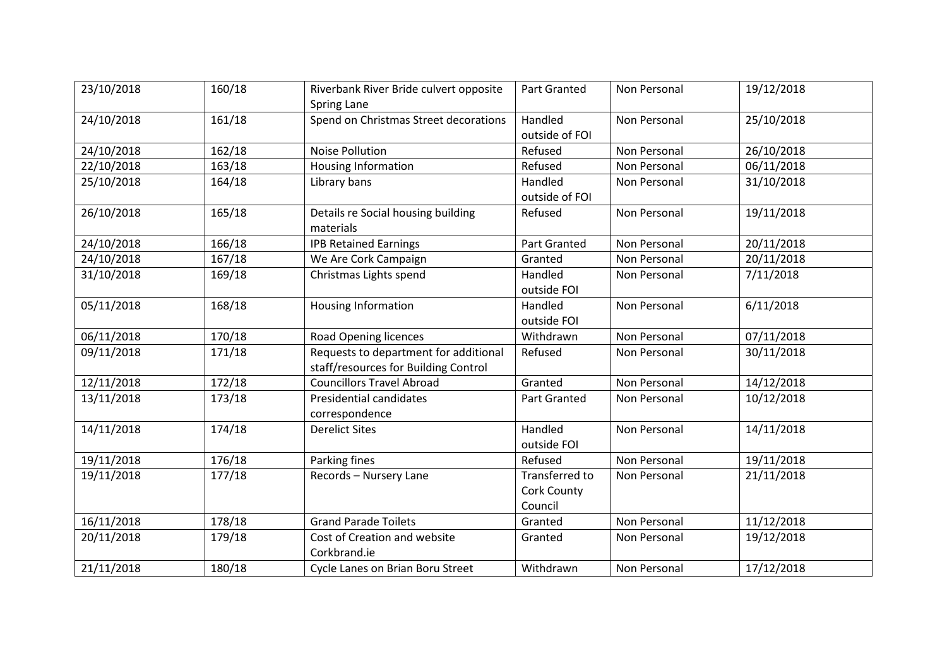| 23/10/2018 | 160/18 | Riverbank River Bride culvert opposite<br>Spring Lane                         | Part Granted                                    | Non Personal        | 19/12/2018 |
|------------|--------|-------------------------------------------------------------------------------|-------------------------------------------------|---------------------|------------|
| 24/10/2018 | 161/18 | Spend on Christmas Street decorations                                         | Handled<br>outside of FOI                       | Non Personal        | 25/10/2018 |
| 24/10/2018 | 162/18 | <b>Noise Pollution</b>                                                        | Refused                                         | Non Personal        | 26/10/2018 |
| 22/10/2018 | 163/18 | <b>Housing Information</b>                                                    | Refused                                         | Non Personal        | 06/11/2018 |
| 25/10/2018 | 164/18 | Library bans                                                                  | Handled<br>outside of FOI                       | Non Personal        | 31/10/2018 |
| 26/10/2018 | 165/18 | Details re Social housing building<br>materials                               | Refused                                         | Non Personal        | 19/11/2018 |
| 24/10/2018 | 166/18 | <b>IPB Retained Earnings</b>                                                  | <b>Part Granted</b>                             | <b>Non Personal</b> | 20/11/2018 |
| 24/10/2018 | 167/18 | We Are Cork Campaign                                                          | Granted                                         | Non Personal        | 20/11/2018 |
| 31/10/2018 | 169/18 | Christmas Lights spend                                                        | Handled<br>outside FOI                          | Non Personal        | 7/11/2018  |
| 05/11/2018 | 168/18 | Housing Information                                                           | Handled<br>outside FOI                          | Non Personal        | 6/11/2018  |
| 06/11/2018 | 170/18 | <b>Road Opening licences</b>                                                  | Withdrawn                                       | <b>Non Personal</b> | 07/11/2018 |
| 09/11/2018 | 171/18 | Requests to department for additional<br>staff/resources for Building Control | Refused                                         | Non Personal        | 30/11/2018 |
| 12/11/2018 | 172/18 | <b>Councillors Travel Abroad</b>                                              | Granted                                         | Non Personal        | 14/12/2018 |
| 13/11/2018 | 173/18 | Presidential candidates<br>correspondence                                     | <b>Part Granted</b>                             | Non Personal        | 10/12/2018 |
| 14/11/2018 | 174/18 | <b>Derelict Sites</b>                                                         | Handled<br>outside FOI                          | Non Personal        | 14/11/2018 |
| 19/11/2018 | 176/18 | Parking fines                                                                 | Refused                                         | <b>Non Personal</b> | 19/11/2018 |
| 19/11/2018 | 177/18 | Records - Nursery Lane                                                        | Transferred to<br><b>Cork County</b><br>Council | Non Personal        | 21/11/2018 |
| 16/11/2018 | 178/18 | <b>Grand Parade Toilets</b>                                                   | Granted                                         | Non Personal        | 11/12/2018 |
| 20/11/2018 | 179/18 | Cost of Creation and website<br>Corkbrand.ie                                  | Granted                                         | Non Personal        | 19/12/2018 |
| 21/11/2018 | 180/18 | Cycle Lanes on Brian Boru Street                                              | Withdrawn                                       | Non Personal        | 17/12/2018 |